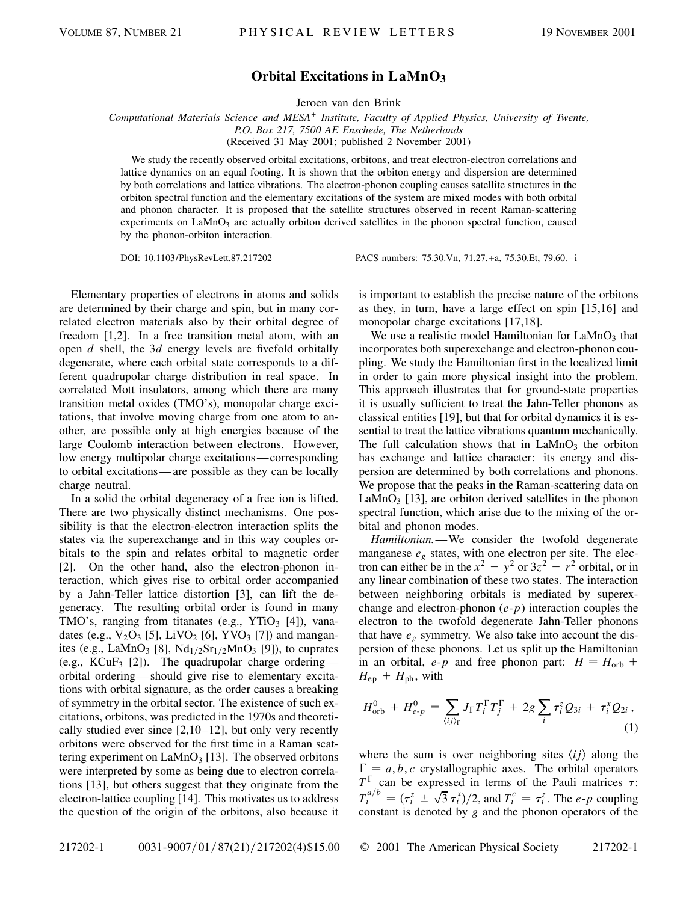## **Orbital Excitations in LaMnO3**

Jeroen van den Brink

*Computational Materials Science and MESA<sup>+</sup> Institute, Faculty of Applied Physics, University of Twente, P.O. Box 217, 7500 AE Enschede, The Netherlands* (Received 31 May 2001; published 2 November 2001)

We study the recently observed orbital excitations, orbitons, and treat electron-electron correlations and lattice dynamics on an equal footing. It is shown that the orbiton energy and dispersion are determined by both correlations and lattice vibrations. The electron-phonon coupling causes satellite structures in the orbiton spectral function and the elementary excitations of the system are mixed modes with both orbital and phonon character. It is proposed that the satellite structures observed in recent Raman-scattering experiments on  $\text{LaMnO}_3$  are actually orbiton derived satellites in the phonon spectral function, caused by the phonon-orbiton interaction.

DOI: 10.1103/PhysRevLett.87.217202 PACS numbers: 75.30.Vn, 71.27.+a, 75.30.Et, 79.60.–i

Elementary properties of electrons in atoms and solids are determined by their charge and spin, but in many correlated electron materials also by their orbital degree of freedom [1,2]. In a free transition metal atom, with an open *d* shell, the 3*d* energy levels are fivefold orbitally degenerate, where each orbital state corresponds to a different quadrupolar charge distribution in real space. In correlated Mott insulators, among which there are many transition metal oxides (TMO's), monopolar charge excitations, that involve moving charge from one atom to another, are possible only at high energies because of the large Coulomb interaction between electrons. However, low energy multipolar charge excitations—corresponding to orbital excitations—are possible as they can be locally charge neutral.

In a solid the orbital degeneracy of a free ion is lifted. There are two physically distinct mechanisms. One possibility is that the electron-electron interaction splits the states via the superexchange and in this way couples orbitals to the spin and relates orbital to magnetic order [2]. On the other hand, also the electron-phonon interaction, which gives rise to orbital order accompanied by a Jahn-Teller lattice distortion [3], can lift the degeneracy. The resulting orbital order is found in many TMO's, ranging from titanates (e.g.,  $YTiO<sub>3</sub>$  [4]), vanadates (e.g.,  $V_2O_3$  [5], LiVO<sub>2</sub> [6], YVO<sub>3</sub> [7]) and manganites (e.g., LaMnO<sub>3</sub> [8], Nd<sub>1/2</sub>Sr<sub>1/2</sub>MnO<sub>3</sub> [9]), to cuprates (e.g.,  $KCuF_3$  [2]). The quadrupolar charge ordering orbital ordering—should give rise to elementary excitations with orbital signature, as the order causes a breaking of symmetry in the orbital sector. The existence of such excitations, orbitons, was predicted in the 1970s and theoretically studied ever since  $[2,10-12]$ , but only very recently orbitons were observed for the first time in a Raman scattering experiment on  $\text{LaMnO}_3$  [13]. The observed orbitons were interpreted by some as being due to electron correlations [13], but others suggest that they originate from the electron-lattice coupling [14]. This motivates us to address the question of the origin of the orbitons, also because it is important to establish the precise nature of the orbitons as they, in turn, have a large effect on spin [15,16] and monopolar charge excitations [17,18].

We use a realistic model Hamiltonian for  $\text{LaMnO}_3$  that incorporates both superexchange and electron-phonon coupling. We study the Hamiltonian first in the localized limit in order to gain more physical insight into the problem. This approach illustrates that for ground-state properties it is usually sufficient to treat the Jahn-Teller phonons as classical entities [19], but that for orbital dynamics it is essential to treat the lattice vibrations quantum mechanically. The full calculation shows that in  $LaMnO<sub>3</sub>$  the orbiton has exchange and lattice character: its energy and dispersion are determined by both correlations and phonons. We propose that the peaks in the Raman-scattering data on LaMnO<sub>3</sub> [13], are orbiton derived satellites in the phonon spectral function, which arise due to the mixing of the orbital and phonon modes.

*Hamiltonian.*—We consider the twofold degenerate manganese *eg* states, with one electron per site. The electron can either be in the  $x^2 - y^2$  or  $3z^2 - r^2$  orbital, or in any linear combination of these two states. The interaction between neighboring orbitals is mediated by superexchange and electron-phonon (*e*-*p*) interaction couples the electron to the twofold degenerate Jahn-Teller phonons that have  $e_g$  symmetry. We also take into account the dispersion of these phonons. Let us split up the Hamiltonian in an orbital,  $e$ - $p$  and free phonon part:  $H = H_{\text{orb}} +$  $H_{ep}$  +  $H_{ph}$ , with

$$
H_{\rm orb}^0 + H_{e-p}^0 = \sum_{\langle ij \rangle_{\Gamma}} J_{\Gamma} T_i^{\Gamma} T_j^{\Gamma} + 2g \sum_i \tau_i^z Q_{3i} + \tau_i^x Q_{2i} , \tag{1}
$$

where the sum is over neighboring sites  $\langle ij \rangle$  along the  $\Gamma = a, b, c$  crystallographic axes. The orbital operators  $T^{\Gamma}$  can be expressed in terms of the Pauli matrices  $\tau$ : *T*<sup>a</sup><sub>*l*</sub></sub> *i*  $\pi$ <sub>*i*</sub>  $\pi$ <sup>*i*</sup><sub>*i*</sub>  $\pi$ <sup>*i*</sup><sub>*i*</sub>  $\pi$ <sup>*i*</sup><sub>*i*</sub>  $\pi$ <sup>*i*</sup><sub>*i*</sub>  $\pi$ <sup>*i*</sup><sub>*i*</sub>. The *e*-*p* coupling constant is denoted by *g* and the phonon operators of the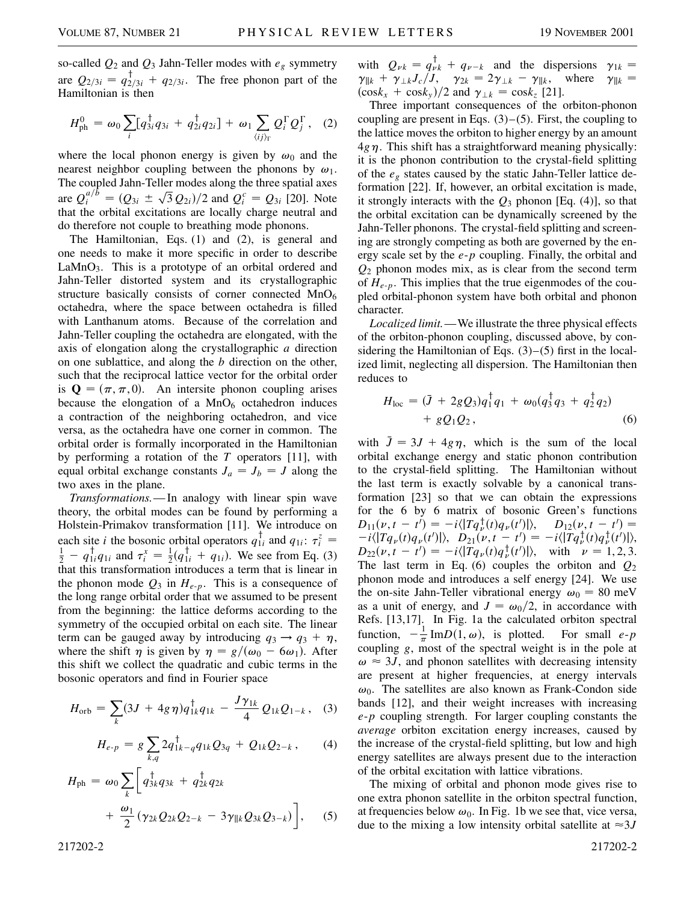so-called  $Q_2$  and  $Q_3$  Jahn-Teller modes with  $e_g$  symmetry are  $Q_{2/3i} = q_{2/3i}^{\dagger} + q_{2/3i}$ . The free phonon part of the Hamiltonian is then

$$
H_{\rm ph}^{0} = \omega_0 \sum_{i} [q_{3i}^{\dagger} q_{3i} + q_{2i}^{\dagger} q_{2i}] + \omega_1 \sum_{\langle ij \rangle_{\Gamma}} Q_{i}^{\Gamma} Q_{j}^{\Gamma}, \quad (2)
$$

where the local phonon energy is given by  $\omega_0$  and the nearest neighbor coupling between the phonons by  $\omega_1$ . The coupled Jahn-Teller modes along the three spatial axes are  $Q_i^{a/b} = (Q_{3i} \pm \sqrt{3} Q_{2i})/2$  and  $Q_i^c = Q_{3i}$  [20]. Note that the orbital excitations are locally charge neutral and do therefore not couple to breathing mode phonons.

The Hamiltonian, Eqs. (1) and (2), is general and one needs to make it more specific in order to describe  $LaMnO<sub>3</sub>$ . This is a prototype of an orbital ordered and Jahn-Teller distorted system and its crystallographic structure basically consists of corner connected  $MnO<sub>6</sub>$ octahedra, where the space between octahedra is filled with Lanthanum atoms. Because of the correlation and Jahn-Teller coupling the octahedra are elongated, with the axis of elongation along the crystallographic *a* direction on one sublattice, and along the *b* direction on the other, such that the reciprocal lattice vector for the orbital order is  $\mathbf{Q} = (\pi, \pi, 0)$ . An intersite phonon coupling arises because the elongation of a  $MnO<sub>6</sub>$  octahedron induces a contraction of the neighboring octahedron, and vice versa, as the octahedra have one corner in common. The orbital order is formally incorporated in the Hamiltonian by performing a rotation of the *T* operators [11], with equal orbital exchange constants  $J_a = J_b = J$  along the two axes in the plane.

*Transformations.*—In analogy with linear spin wave theory, the orbital modes can be found by performing a Holstein-Primakov transformation [11]. We introduce on each site *i* the bosonic orbital operators  $q_{1i}^{\dagger}$  and  $q_{1i}$ :  $\tau_i^z =$  $\frac{1}{2} - q_{1i}^{\dagger} q_{1i}$  and  $\tau_i^x = \frac{1}{2}(q_{1i}^{\dagger} + q_{1i})$ . We see from Eq. (3) that this transformation introduces a term that is linear in the phonon mode  $Q_3$  in  $H_{e-p}$ . This is a consequence of the long range orbital order that we assumed to be present from the beginning: the lattice deforms according to the symmetry of the occupied orbital on each site. The linear term can be gauged away by introducing  $q_3 \rightarrow q_3 + \eta$ , where the shift  $\eta$  is given by  $\eta = g/(\omega_0 - 6\omega_1)$ . After this shift we collect the quadratic and cubic terms in the bosonic operators and find in Fourier space

$$
H_{\rm orb} = \sum_{k} (3J + 4g\,\eta) q_{1k}^{\dagger} q_{1k} - \frac{J\,\gamma_{1k}}{4} \, Q_{1k} Q_{1-k} \,, \quad (3)
$$

$$
H_{e-p} = g \sum_{k,q} 2q_{1k-q}^{\dagger} q_{1k} Q_{3q} + Q_{1k} Q_{2-k}, \qquad (4)
$$

$$
H_{\rm ph} = \omega_0 \sum_{k} \left[ q_{3k}^{\dagger} q_{3k} + q_{2k}^{\dagger} q_{2k} + \frac{\omega_1}{2} (\gamma_{2k} Q_{2k} Q_{2-k} - 3 \gamma_{\parallel k} Q_{3k} Q_{3-k}) \right], \quad (5)
$$

with  $Q_{\nu k} = q_{\nu k}^{\dagger} + q_{\nu-k}$  and the dispersions  $\gamma_{1k} =$  $\gamma_{\parallel k} + \gamma_{\perp k}J_c/J$ ,  $\gamma_{2k} = 2\gamma_{\perp k} - \gamma_{\parallel k}$ , where  $\gamma_{\parallel k} =$  $(\cos k_x + \cos k_y)/2$  and  $\gamma_{\perp k} = \cos k_z$  [21].

Three important consequences of the orbiton-phonon coupling are present in Eqs.  $(3)$ – $(5)$ . First, the coupling to the lattice moves the orbiton to higher energy by an amount  $4g\eta$ . This shift has a straightforward meaning physically: it is the phonon contribution to the crystal-field splitting of the *eg* states caused by the static Jahn-Teller lattice deformation [22]. If, however, an orbital excitation is made, it strongly interacts with the *Q*<sup>3</sup> phonon [Eq. (4)], so that the orbital excitation can be dynamically screened by the Jahn-Teller phonons. The crystal-field splitting and screening are strongly competing as both are governed by the energy scale set by the *e*-*p* coupling. Finally, the orbital and *Q*<sup>2</sup> phonon modes mix, as is clear from the second term of *He*-*p*. This implies that the true eigenmodes of the coupled orbital-phonon system have both orbital and phonon character.

*Localized limit.*—We illustrate the three physical effects of the orbiton-phonon coupling, discussed above, by considering the Hamiltonian of Eqs.  $(3)$ – $(5)$  first in the localized limit, neglecting all dispersion. The Hamiltonian then reduces to

$$
H_{\text{loc}} = (\bar{J} + 2gQ_3)q_1^{\dagger}q_1 + \omega_0(q_3^{\dagger}q_3 + q_2^{\dagger}q_2) + gQ_1Q_2, \qquad (6)
$$

with  $\bar{J} = 3J + 4g\eta$ , which is the sum of the local orbital exchange energy and static phonon contribution to the crystal-field splitting. The Hamiltonian without the last term is exactly solvable by a canonical transformation [23] so that we can obtain the expressions for the 6 by 6 matrix of bosonic Green's functions  $D_{11}(v, t - t') = -i \langle |Tq_{\nu}^{\dagger}(t)q_{\nu}(t')| \rangle, \quad D_{12}(v, t - t') =$  $-i\langle |Tq_{\nu}(t)q_{\nu}(t')| \rangle, \quad D_{21}(\nu, t - t') = -i\langle |Tq_{\nu}^{\dagger}(t)q_{\nu}^{\dagger}(t')| \rangle,$  $D_{22}(v, t - t') = -i \langle |Tq_v(t)q_v^{\dagger}(t')| \rangle$ , with  $v = 1, 2, 3$ . The last term in Eq. (6) couples the orbiton and  $Q_2$ phonon mode and introduces a self energy [24]. We use the on-site Jahn-Teller vibrational energy  $\omega_0 = 80$  meV as a unit of energy, and  $J = \omega_0/2$ , in accordance with Refs. [13,17]. In Fig. 1a the calculated orbiton spectral function,  $-\frac{1}{\pi} \text{Im}D(1, \omega)$ , is plotted. For small *e-p* coupling *g*, most of the spectral weight is in the pole at  $\omega \approx 3J$ , and phonon satellites with decreasing intensity are present at higher frequencies, at energy intervals  $\omega_0$ . The satellites are also known as Frank-Condon side bands [12], and their weight increases with increasing *e*-*p* coupling strength. For larger coupling constants the *average* orbiton excitation energy increases, caused by the increase of the crystal-field splitting, but low and high energy satellites are always present due to the interaction of the orbital excitation with lattice vibrations.

The mixing of orbital and phonon mode gives rise to one extra phonon satellite in the orbiton spectral function, at frequencies below  $\omega_0$ . In Fig. 1b we see that, vice versa, due to the mixing a low intensity orbital satellite at  $\approx 3J$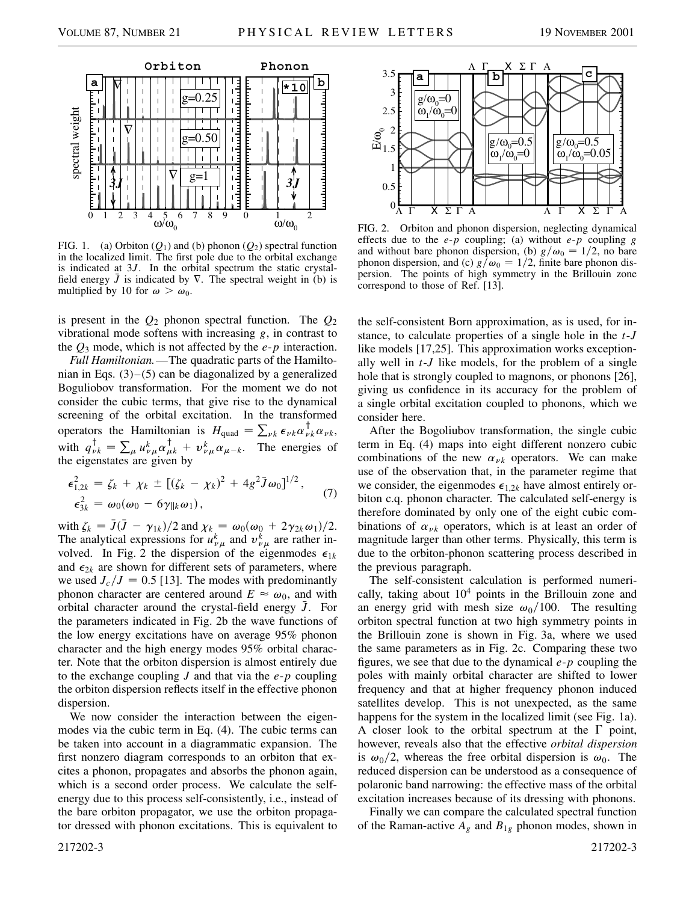

FIG. 1. (a) Orbiton  $(Q_1)$  and (b) phonon  $(Q_2)$  spectral function in the localized limit. The first pole due to the orbital exchange is indicated at 3*J*. In the orbital spectrum the static crystalfield energy  $\bar{J}$  is indicated by  $\nabla$ . The spectral weight in (b) is multiplied by 10 for  $\omega > \omega_0$ .

is present in the *Q*<sup>2</sup> phonon spectral function. The *Q*<sup>2</sup> vibrational mode softens with increasing *g*, in contrast to the *Q*<sup>3</sup> mode, which is not affected by the *e*-*p* interaction.

*Full Hamiltonian.*—The quadratic parts of the Hamiltonian in Eqs. (3)–(5) can be diagonalized by a generalized Boguliobov transformation. For the moment we do not consider the cubic terms, that give rise to the dynamical screening of the orbital excitation. In the transformed operators the Hamiltonian is  $H_{\text{quad}} = \sum_{\nu k} \epsilon_{\nu k} \alpha_{\nu k}^{\dagger} \alpha_{\nu k}$ , with  $q_{\nu k}^{\dagger} = \sum_{\mu} u_{\nu\mu}^{k} \alpha_{\mu k}^{\dagger} + v_{\nu\mu}^{k} \alpha_{\mu-k}$ . The energies of the eigenstates are given by

$$
\epsilon_{1,2k}^2 = \zeta_k + \chi_k \pm [(\zeta_k - \chi_k)^2 + 4g^2 \bar{J} \omega_0]^{1/2},
$$
  

$$
\epsilon_{3k}^2 = \omega_0(\omega_0 - 6\gamma_{\parallel k}\omega_1),
$$
 (7)

with  $\zeta_k = \bar{J}(\bar{J} - \gamma_{1k})/2$  and  $\chi_k = \omega_0(\omega_0 + 2\gamma_{2k}\omega_1)/2$ . The analytical expressions for  $u_{\nu\mu}^k$  and  $v_{\nu\mu}^k$  are rather involved. In Fig. 2 the dispersion of the eigenmodes  $\epsilon_{1k}$ and  $\epsilon_{2k}$  are shown for different sets of parameters, where we used  $J_c/J = 0.5$  [13]. The modes with predominantly phonon character are centered around  $E \approx \omega_0$ , and with orbital character around the crystal-field energy  $\bar{J}$ . For the parameters indicated in Fig. 2b the wave functions of the low energy excitations have on average 95% phonon character and the high energy modes 95% orbital character. Note that the orbiton dispersion is almost entirely due to the exchange coupling *J* and that via the *e*-*p* coupling the orbiton dispersion reflects itself in the effective phonon dispersion.

We now consider the interaction between the eigenmodes via the cubic term in Eq. (4). The cubic terms can be taken into account in a diagrammatic expansion. The first nonzero diagram corresponds to an orbiton that excites a phonon, propagates and absorbs the phonon again, which is a second order process. We calculate the selfenergy due to this process self-consistently, i.e., instead of the bare orbiton propagator, we use the orbiton propagator dressed with phonon excitations. This is equivalent to



FIG. 2. Orbiton and phonon dispersion, neglecting dynamical effects due to the *e*-*p* coupling; (a) without *e*-*p* coupling *g* and without bare phonon dispersion, (b)  $g/\omega_0 = 1/2$ , no bare phonon dispersion, and (c)  $g/\omega_0 = 1/2$ , finite bare phonon dispersion. The points of high symmetry in the Brillouin zone correspond to those of Ref. [13].

the self-consistent Born approximation, as is used, for instance, to calculate properties of a single hole in the *t*-*J* like models [17,25]. This approximation works exceptionally well in *t*-*J* like models, for the problem of a single hole that is strongly coupled to magnons, or phonons [26], giving us confidence in its accuracy for the problem of a single orbital excitation coupled to phonons, which we consider here.

After the Bogoliubov transformation, the single cubic term in Eq. (4) maps into eight different nonzero cubic combinations of the new  $\alpha_{\nu k}$  operators. We can make use of the observation that, in the parameter regime that we consider, the eigenmodes  $\epsilon_{1,2k}$  have almost entirely orbiton c.q. phonon character. The calculated self-energy is therefore dominated by only one of the eight cubic combinations of  $\alpha_{\nu k}$  operators, which is at least an order of magnitude larger than other terms. Physically, this term is due to the orbiton-phonon scattering process described in the previous paragraph.

The self-consistent calculation is performed numerically, taking about  $10<sup>4</sup>$  points in the Brillouin zone and an energy grid with mesh size  $\omega_0/100$ . The resulting orbiton spectral function at two high symmetry points in the Brillouin zone is shown in Fig. 3a, where we used the same parameters as in Fig. 2c. Comparing these two figures, we see that due to the dynamical *e*-*p* coupling the poles with mainly orbital character are shifted to lower frequency and that at higher frequency phonon induced satellites develop. This is not unexpected, as the same happens for the system in the localized limit (see Fig. 1a). A closer look to the orbital spectrum at the  $\Gamma$  point, however, reveals also that the effective *orbital dispersion* is  $\omega_0/2$ , whereas the free orbital dispersion is  $\omega_0$ . The reduced dispersion can be understood as a consequence of polaronic band narrowing: the effective mass of the orbital excitation increases because of its dressing with phonons.

Finally we can compare the calculated spectral function of the Raman-active  $A_g$  and  $B_{1g}$  phonon modes, shown in